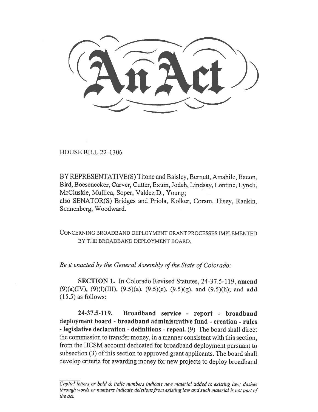HOUSE BILL 22-1306

BY REPRESENTATIVE(S) Titone and Baisley, Bernett, Amabile, Bacon, Bird, Boesenecker, Carver, Cutter, Exum, Jodeh, Lindsay, Lontine, Lynch, McCluskie, Mullica, Soper, Valdez D., Young;

also SENATOR(S) Bridges and Priola, Kolker, Coram, Hisey, Rankin, Sonnenberg, Woodward.

CONCERNING BROADBAND DEPLOYMENT GRANT PROCESSES IMPLEMENTED BY THE BROADBAND DEPLOYMENT BOARD.

Be it enacted by the General Assembly of the State of Colorado:

SECTION 1. In Colorado Revised Statutes, 24-37.5-119, amend (9)(a)(IV), (9)(l)(III), (9.5)(a), (9.5)(e), (9.5)(g), and (9.5)(h); and add (15.5) as follows:

24-37.5-119. Broadband service - report - broadband deployment board - broadband administrative fund - creation - rules - legislative declaration - definitions - repeal. (9) The board shall direct the commission to transfer money, in a manner consistent with this section, from the HCSM account dedicated for broadband deployment pursuant to subsection (3) of this section to approved grant applicants. The board shall develop criteria for awarding money for new projects to deploy broadband

Capital letters or bold & italic numbers indicate new material added to existing law; dashes through words or numbers indicate deletions from existing law and such material is not part of the act.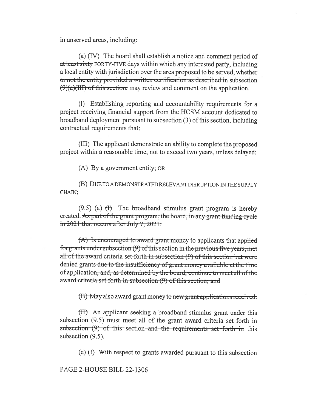in unserved areas, including:

(a) (IV) The board shall establish a notice and comment period of at least sixty FORTY-FIVE days within which any interested party, including a local entity with jurisdiction over the area proposed to be served, whether or not the entity provided a written certification as described in subsection  $(9)(a)(III)$  of this section, may review and comment on the application.

(1) Establishing reporting and accountability requirements for a project receiving financial support from the HCSM account dedicated to broadband deployment pursuant to subsection (3) of this section, including contractual requirements that:

(III) The applicant demonstrate an ability to complete the proposed project within a reasonable time, not to exceed two years, unless delayed:

(A) By a government entity; OR

(B) DUE TO A DEMONSTRATED RELEVANT DISRUPTION IN THE SUPPLY CHAIN;

 $(9.5)$  (a)  $(H)$  The broadband stimulus grant program is hereby created. As part of the grant program, the board, in any grant funding cycle in  $2021$  that occurs after July 7, 2021.

 $(A)$  is encouraged to award-grant money to applicants that applied for grants under subsection  $(9)$  of this section in the previous five years, met all of the award criteria set-forth in subsection  $(9)$  of this section but were denied grants due to the insufficiency of grant money available at the time of application, and, as determined by thc board, continue to meet all of thc award criteria set forth in subsection (9) of this section; and

 $\langle B \rangle$  May also award grant money to new grant applications received.

(II) An applicant seeking a broadband stimulus grant under this subsection (9.5) must meet all of the grant award criteria set forth in subsection— $(9)$  of this—section—and the—requirements—set—forth—in this subsection  $(9.5)$ .

(e) (I) With respect to grants awarded pursuant to this subsection

PAGE 2-HOUSE BILL 22-1306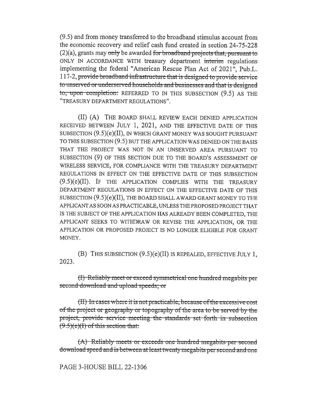(9.5) and from money transferred to the broadband stimulus account from the economic recovery and relief cash fund created in section 24-75-228  $(2)(a)$ , grants may only be awarded for broadband projects that, pursuant to ONLY IN ACCORDANCE WITH treasury department interim regulations implementing the federal "American Rescue Plan Act of 2021", Pub.L. 117-2, provide broadband infrastructure that is designed to provide service to unserved or underserved households and businesses and that is designed to, upon completion: REFERRED TO IN THIS SUBSECTION (9.5) AS THE "TREASURY DEPARTMENT REGULATIONS".

(II) (A) THE BOARD SHALL REVIEW EACH DENIED APPLICATION RECEIVED BETWEEN JULY 1, 2021, AND THE EFFECTIVE DATE OF THIS SUBSECTION (9.5)(e)(II), IN WHICH GRANT MONEY WAS SOUGHT PURSUANT TO THIS SUBSECTION (9.5) BUT THE APPLICATION WAS DENIED ON THE BASIS THAT THE PROJECT WAS NOT IN AN UNSERVED AREA PURSUANT TO SUBSECTION (9) OF THIS SECTION DUE TO THE BOARD'S ASSESSMENT OF WIRELESS SERVICE, FOR COMPLIANCE WITH THE TREASURY DEPARTMENT REGULATIONS IN EFFECT ON THE EFFECTIVE DATE OF THIS SUBSECTION (9.5)(e)(II). IF THE APPLICATION COMPLIES WITH THE TREASURY DEPARTMENT REGULATIONS IN EFFECT ON THE EFFECTIVE DATE OF THIS SUBSECTION (9.5)(e)(II), THE BOARD SHALL AWARD GRANT MONEY TO THE APPLICANT AS SOON AS PRACTICABLE, UNLESS THE PROPOSED PROJECT THAT IS THE SUBJECT OF THE APPLICATION HAS ALREADY BEEN COMPLETED, THE APPLICANT SEEKS TO WITHDRAW OR REVISE THE APPLICATION, OR THE APPLICATION OR PROPOSED PROJECT IS NO LONGER ELIGIBLE FOR GRANT MONEY.

(B) THIS SUBSECTION (9.5)(e)(II) IS REPEALED, EFFECTIVE JULY 1, 2023.

(I) Reliably meet or exceed symmetrical one hundred megabits per second download and upload speeds; or

 $(H)$  In cases where it is not practicable, because of the excessive cost of the project or geography or topography of the area to-be served by the project, provide—service—meeting the—standards—set—forth—in—subsection  $(9.5)(e)(I)$  of this section that:

(A) Reliably meets or exceeds one hundred megabits per second download speed and is between at least twenty megabits per second and one

PAGE 3-HOUSE BILL 22-1306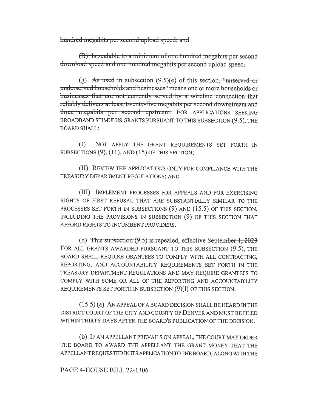hundred megabits per second upload speed; and

(B) Is scalable to a minimum of one hundred megabits per second download speed and one hundred megabits per second upload speed.

(g) As used in subsection  $(9.5)(e)$  of this section, "unserved or underserved households and businesses" means one or more households or businesses that are not-currently served by a wireline connection that reliably delivers at least twenty-five megabits per second downstream and three megabits per second upstream. FOR APPLICATIONS SEEKING BROADBAND STIMULUS GRANTS PURSUANT TO THIS SUBSECTION (9.5), THE **BOARD SHALL:** 

 $(1)$ NOT APPLY THE GRANT REQUIREMENTS SET FORTH IN SUBSECTIONS  $(9)$ ,  $(11)$ , AND  $(15)$  OF THIS SECTION;

(II) REVIEW THE APPLICATIONS ONLY FOR COMPLIANCE WITH THE TREASURY DEPARTMENT REGULATIONS; AND

(III) IMPLEMENT PROCESSES FOR APPEALS AND FOR EXERCISING RIGHTS OF FIRST REFUSAL THAT ARE SUBSTANTIALLY SIMILAR TO THE PROCESSES SET FORTH IN SUBSECTIONS (9) AND (15.5) OF THIS SECTION, INCLUDING THE PROVISIONS IN SUBSECTION (9) OF THIS SECTION THAT AFFORD RIGHTS TO INCUMBENT PROVIDERS.

(h) This subsection  $(9.5)$  is repealed, effective September 1, 2023 FOR ALL GRANTS AWARDED PURSUANT TO THIS SUBSECTION (9.5), THE BOARD SHALL REQUIRE GRANTEES TO COMPLY WITH ALL CONTRACTING, REPORTING, AND ACCOUNTABILITY REQUIREMENTS SET FORTH IN THE TREASURY DEPARTMENT REGULATIONS AND MAY REOUIRE GRANTEES TO COMPLY WITH SOME OR ALL OF THE REPORTING AND ACCOUNTABILITY REQUIREMENTS SET FORTH IN SUBSECTION (9)(1) OF THIS SECTION.

 $(15.5)$  (a) AN APPEAL OF A BOARD DECISION SHALL BE HEARD IN THE DISTRICT COURT OF THE CITY AND COUNTY OF DENVER AND MUST BE FILED WITHIN THIRTY DAYS AFTER THE BOARD'S PUBLICATION OF THE DECISION.

(b) IF AN APPELLANT PREVAILS ON APPEAL, THE COURT MAY ORDER THE BOARD TO AWARD THE APPELLANT THE GRANT MONEY THAT THE APPELLANT REQUESTED IN ITS APPLICATION TO THE BOARD, ALONG WITH THE

## PAGE 4-HOUSE BILL 22-1306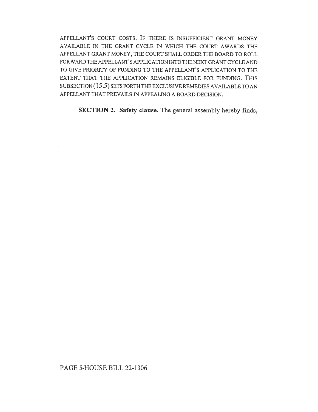APPELLANT'S COURT COSTS. IF THERE IS INSUFFICIENT GRANT MONEY AVAILABLE IN THE GRANT CYCLE IN WHICH THE COURT AWARDS THE APPELLANT GRANT MONEY, THE COURT SHALL ORDER THE BOARD TO ROLL FORWARD THE APPELLANT'S APPLICATION INTO THE NEXT GRANT CYCLE AND TO GIVE PRIORITY OF FUNDING TO THE APPELLANT'S APPLICATION TO THE EXTENT THAT THE APPLICATION REMAINS ELIGIBLE FOR FUNDING. THIS SUBSECTION (15.5) SETS FORTH THE EXCLUSIVE REMEDIES AVAILABLE TO AN APPELLANT THAT PREVAILS IN APPEALING A BOARD DECISION.

SECTION 2. Safety clause. The general assembly hereby finds,